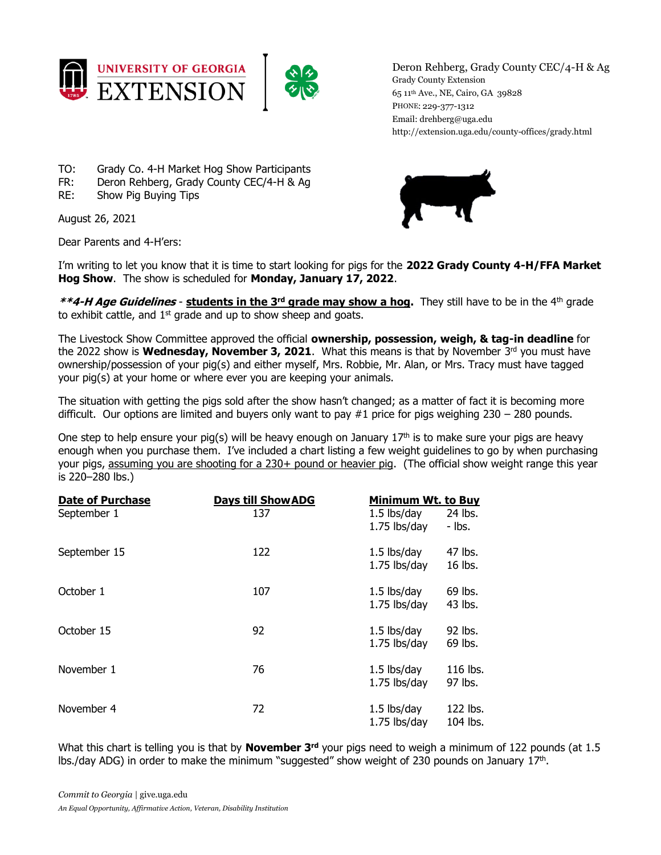



Deron Rehberg, Grady County CEC/4-H & Ag Grady County Extension 65 11th Ave., NE, Cairo, GA 39828 PHONE: 229-377-1312 Email: drehberg@uga.edu http://extension.uga.edu/county-offices/grady.html

- TO: Grady Co. 4-H Market Hog Show Participants
- FR: Deron Rehberg, Grady County CEC/4-H & Ag
- RE: Show Pig Buying Tips

August 26, 2021

Dear Parents and 4-H'ers:

I'm writing to let you know that it is time to start looking for pigs for the **2022 Grady County 4-H/FFA Market Hog Show**. The show is scheduled for **Monday, January 17, 2022**.

**\*\*4-H Age Guidelines** - **students in the 3rd grade may show a hog.** They still have to be in the 4th grade to exhibit cattle, and  $1<sup>st</sup>$  grade and up to show sheep and goats.

The Livestock Show Committee approved the official **ownership, possession, weigh, & tag-in deadline** for the 2022 show is Wednesday, November 3, 2021. What this means is that by November 3<sup>rd</sup> you must have ownership/possession of your pig(s) and either myself, Mrs. Robbie, Mr. Alan, or Mrs. Tracy must have tagged your pig(s) at your home or where ever you are keeping your animals.

The situation with getting the pigs sold after the show hasn't changed; as a matter of fact it is becoming more difficult. Our options are limited and buyers only want to pay #1 price for pigs weighing 230 – 280 pounds.

One step to help ensure your pig(s) will be heavy enough on January  $17<sup>th</sup>$  is to make sure your pigs are heavy enough when you purchase them. I've included a chart listing a few weight guidelines to go by when purchasing your pigs, assuming you are shooting for a 230+ pound or heavier pig. (The official show weight range this year is 220–280 lbs.)

| <b>Date of Purchase</b><br>September 1 | <b>Days till Show ADG</b><br>137 | Minimum Wt. to Buy<br>1.5 lbs/day<br>1.75 lbs/day | 24 lbs.<br>- Ibs.    |
|----------------------------------------|----------------------------------|---------------------------------------------------|----------------------|
| September 15                           | 122                              | $1.5$ lbs/day<br>1.75 lbs/day                     | 47 lbs.<br>16 lbs.   |
| October 1                              | 107                              | $1.5$ lbs/day<br>1.75 lbs/day                     | 69 lbs.<br>43 lbs.   |
| October 15                             | 92                               | 1.5 lbs/day<br>1.75 lbs/day                       | 92 lbs.<br>69 lbs.   |
| November 1                             | 76                               | 1.5 lbs/day<br>1.75 lbs/day                       | 116 lbs.<br>97 lbs.  |
| November 4                             | 72                               | $1.5$ lbs/day<br>1.75 lbs/day                     | 122 lbs.<br>104 lbs. |

What this chart is telling you is that by **November 3<sup>rd</sup>** your pigs need to weigh a minimum of 122 pounds (at 1.5 lbs./day ADG) in order to make the minimum "suggested" show weight of 230 pounds on January  $17<sup>th</sup>$ .